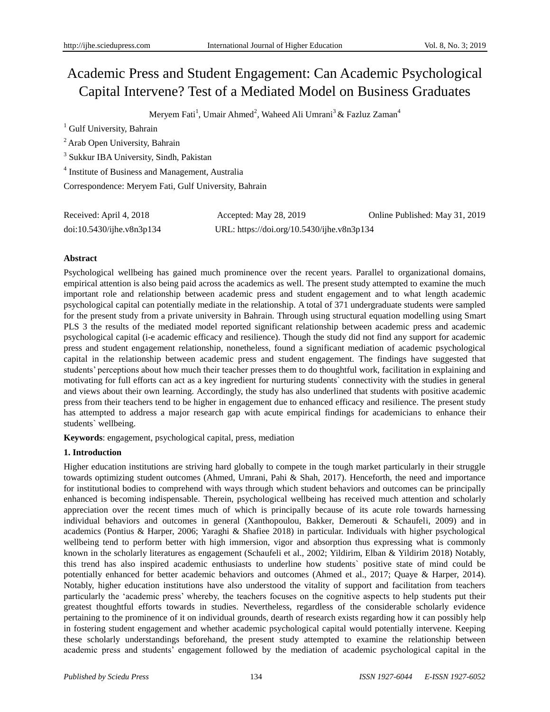# Academic Press and Student Engagement: Can Academic Psychological Capital Intervene? Test of a Mediated Model on Business Graduates

Meryem Fati<sup>1</sup>, Umair Ahmed<sup>2</sup>, Waheed Ali Umrani<sup>3</sup> & Fazluz Zaman<sup>4</sup>

<sup>1</sup> Gulf University, Bahrain

<sup>2</sup> Arab Open University, Bahrain

3 Sukkur IBA University, Sindh, Pakistan

<sup>4</sup> Institute of Business and Management, Australia

Correspondence: Meryem Fati, Gulf University, Bahrain

| Received: April 4, 2018   | Accepted: May 28, 2019                     | Online Published: May 31, 2019 |
|---------------------------|--------------------------------------------|--------------------------------|
| doi:10.5430/ijhe.v8n3p134 | URL: https://doi.org/10.5430/ijhe.v8n3p134 |                                |

# **Abstract**

Psychological wellbeing has gained much prominence over the recent years. Parallel to organizational domains, empirical attention is also being paid across the academics as well. The present study attempted to examine the much important role and relationship between academic press and student engagement and to what length academic psychological capital can potentially mediate in the relationship. A total of 371 undergraduate students were sampled for the present study from a private university in Bahrain. Through using structural equation modelling using Smart PLS 3 the results of the mediated model reported significant relationship between academic press and academic psychological capital (i-e academic efficacy and resilience). Though the study did not find any support for academic press and student engagement relationship, nonetheless, found a significant mediation of academic psychological capital in the relationship between academic press and student engagement. The findings have suggested that students' perceptions about how much their teacher presses them to do thoughtful work, facilitation in explaining and motivating for full efforts can act as a key ingredient for nurturing students` connectivity with the studies in general and views about their own learning. Accordingly, the study has also underlined that students with positive academic press from their teachers tend to be higher in engagement due to enhanced efficacy and resilience. The present study has attempted to address a major research gap with acute empirical findings for academicians to enhance their students` wellbeing.

**Keywords**: engagement, psychological capital, press, mediation

# **1. Introduction**

Higher education institutions are striving hard globally to compete in the tough market particularly in their struggle towards optimizing student outcomes (Ahmed, Umrani, Pahi & Shah, 2017). Henceforth, the need and importance for institutional bodies to comprehend with ways through which student behaviors and outcomes can be principally enhanced is becoming indispensable. Therein, psychological wellbeing has received much attention and scholarly appreciation over the recent times much of which is principally because of its acute role towards harnessing individual behaviors and outcomes in general (Xanthopoulou, Bakker, Demerouti & Schaufeli, 2009) and in academics (Pontius & Harper, 2006; Yaraghi & Shafiee 2018) in particular. Individuals with higher psychological wellbeing tend to perform better with high immersion, vigor and absorption thus expressing what is commonly known in the scholarly literatures as engagement (Schaufeli et al., 2002; Yildirim, Elban & Yildirim 2018) Notably, this trend has also inspired academic enthusiasts to underline how students` positive state of mind could be potentially enhanced for better academic behaviors and outcomes (Ahmed et al., 2017; Quaye & Harper, 2014). Notably, higher education institutions have also understood the vitality of support and facilitation from teachers particularly the 'academic press' whereby, the teachers focuses on the cognitive aspects to help students put their greatest thoughtful efforts towards in studies. Nevertheless, regardless of the considerable scholarly evidence pertaining to the prominence of it on individual grounds, dearth of research exists regarding how it can possibly help in fostering student engagement and whether academic psychological capital would potentially intervene. Keeping these scholarly understandings beforehand, the present study attempted to examine the relationship between academic press and students' engagement followed by the mediation of academic psychological capital in the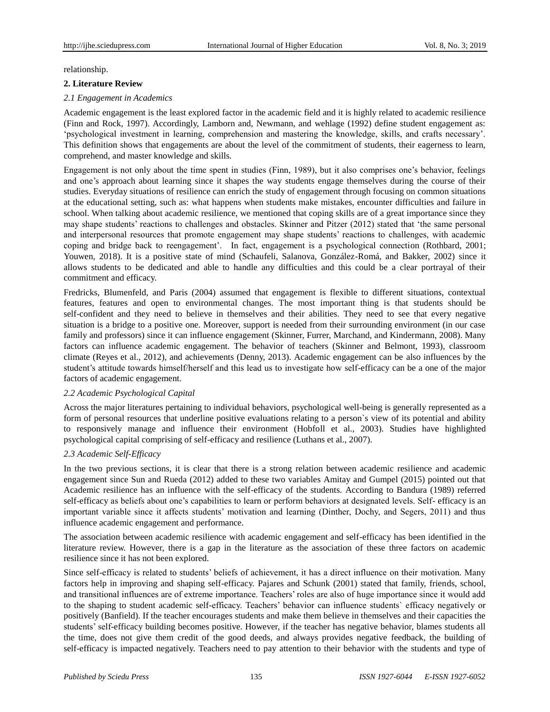relationship.

## **2. Literature Review**

## *2.1 Engagement in Academics*

Academic engagement is the least explored factor in the academic field and it is highly related to academic resilience (Finn and Rock, 1997). Accordingly, Lamborn and, Newmann, and wehlage (1992) define student engagement as: 'psychological investment in learning, comprehension and mastering the knowledge, skills, and crafts necessary'. This definition shows that engagements are about the level of the commitment of students, their eagerness to learn, comprehend, and master knowledge and skills.

Engagement is not only about the time spent in studies (Finn, 1989), but it also comprises one's behavior, feelings and one's approach about learning since it shapes the way students engage themselves during the course of their studies. Everyday situations of resilience can enrich the study of engagement through focusing on common situations at the educational setting, such as: what happens when students make mistakes, encounter difficulties and failure in school. When talking about academic resilience, we mentioned that coping skills are of a great importance since they may shape students' reactions to challenges and obstacles. Skinner and Pitzer (2012) stated that 'the same personal and interpersonal resources that promote engagement may shape students' reactions to challenges, with academic coping and bridge back to reengagement'. In fact, engagement is a psychological connection (Rothbard, 2001; Youwen, 2018). It is a positive state of mind (Schaufeli, Salanova, González-Romá, and Bakker, 2002) since it allows students to be dedicated and able to handle any difficulties and this could be a clear portrayal of their commitment and efficacy.

Fredricks, Blumenfeld, and Paris (2004) assumed that engagement is flexible to different situations, contextual features, features and open to environmental changes. The most important thing is that students should be self-confident and they need to believe in themselves and their abilities. They need to see that every negative situation is a bridge to a positive one. Moreover, support is needed from their surrounding environment (in our case family and professors) since it can influence engagement (Skinner, Furrer, Marchand, and Kindermann, 2008). Many factors can influence academic engagement. The behavior of teachers (Skinner and Belmont, 1993), classroom climate (Reyes et al., 2012), and achievements (Denny, 2013). Academic engagement can be also influences by the student's attitude towards himself/herself and this lead us to investigate how self-efficacy can be a one of the major factors of academic engagement.

#### *2.2 Academic Psychological Capital*

Across the major literatures pertaining to individual behaviors, psychological well-being is generally represented as a form of personal resources that underline positive evaluations relating to a person`s view of its potential and ability to responsively manage and influence their environment (Hobfoll et al., 2003). Studies have highlighted psychological capital comprising of self-efficacy and resilience (Luthans et al., 2007).

#### *2.3 Academic Self-Efficacy*

In the two previous sections, it is clear that there is a strong relation between academic resilience and academic engagement since Sun and Rueda (2012) added to these two variables Amitay and Gumpel (2015) pointed out that Academic resilience has an influence with the self-efficacy of the students. According to Bandura (1989) referred self-efficacy as beliefs about one's capabilities to learn or perform behaviors at designated levels. Self- efficacy is an important variable since it affects students' motivation and learning (Dinther, Dochy, and Segers, 2011) and thus influence academic engagement and performance.

The association between academic resilience with academic engagement and self-efficacy has been identified in the literature review. However, there is a gap in the literature as the association of these three factors on academic resilience since it has not been explored.

Since self-efficacy is related to students' beliefs of achievement, it has a direct influence on their motivation. Many factors help in improving and shaping self-efficacy. Pajares and Schunk (2001) stated that family, friends, school, and transitional influences are of extreme importance. Teachers' roles are also of huge importance since it would add to the shaping to student academic self-efficacy. Teachers' behavior can influence students` efficacy negatively or positively (Banfield). If the teacher encourages students and make them believe in themselves and their capacities the students' self-efficacy building becomes positive. However, if the teacher has negative behavior, blames students all the time, does not give them credit of the good deeds, and always provides negative feedback, the building of self-efficacy is impacted negatively. Teachers need to pay attention to their behavior with the students and type of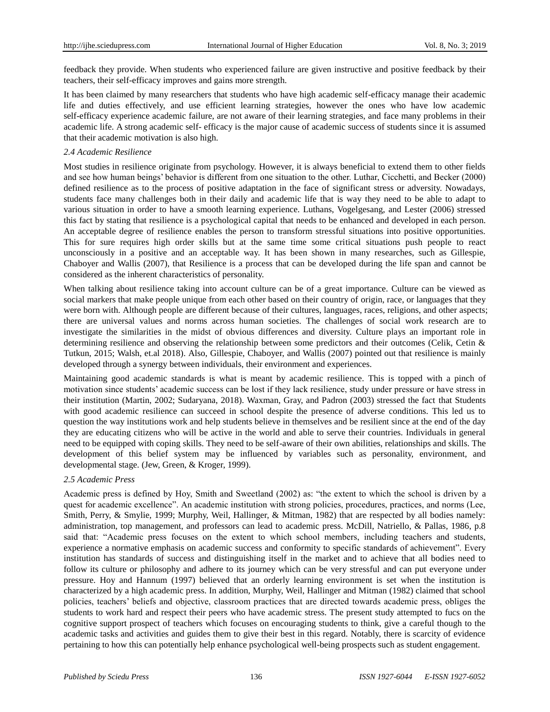feedback they provide. When students who experienced failure are given instructive and positive feedback by their teachers, their self-efficacy improves and gains more strength.

It has been claimed by many researchers that students who have high academic self-efficacy manage their academic life and duties effectively, and use efficient learning strategies, however the ones who have low academic self-efficacy experience academic failure, are not aware of their learning strategies, and face many problems in their academic life. A strong academic self- efficacy is the major cause of academic success of students since it is assumed that their academic motivation is also high.

## *2.4 Academic Resilience*

Most studies in resilience originate from psychology. However, it is always beneficial to extend them to other fields and see how human beings' behavior is different from one situation to the other. Luthar, Cicchetti, and Becker (2000) defined resilience as to the process of positive adaptation in the face of significant stress or adversity. Nowadays, students face many challenges both in their daily and academic life that is way they need to be able to adapt to various situation in order to have a smooth learning experience. Luthans, Vogelgesang, and Lester (2006) stressed this fact by stating that resilience is a psychological capital that needs to be enhanced and developed in each person. An acceptable degree of resilience enables the person to transform stressful situations into positive opportunities. This for sure requires high order skills but at the same time some critical situations push people to react unconsciously in a positive and an acceptable way. It has been shown in many researches, such as Gillespie, Chaboyer and Wallis (2007), that Resilience is a process that can be developed during the life span and cannot be considered as the inherent characteristics of personality.

When talking about resilience taking into account culture can be of a great importance. Culture can be viewed as social markers that make people unique from each other based on their country of origin, race, or languages that they were born with. Although people are different because of their cultures, languages, races, religions, and other aspects; there are universal values and norms across human societies. The challenges of social work research are to investigate the similarities in the midst of obvious differences and diversity. Culture plays an important role in determining resilience and observing the relationship between some predictors and their outcomes (Celik, Cetin & Tutkun, 2015; Walsh, et.al 2018). Also, Gillespie, Chaboyer, and Wallis (2007) pointed out that resilience is mainly developed through a synergy between individuals, their environment and experiences.

Maintaining good academic standards is what is meant by academic resilience. This is topped with a pinch of motivation since students' academic success can be lost if they lack resilience, study under pressure or have stress in their institution (Martin, 2002; Sudaryana, 2018). Waxman, Gray, and Padron (2003) stressed the fact that Students with good academic resilience can succeed in school despite the presence of adverse conditions. This led us to question the way institutions work and help students believe in themselves and be resilient since at the end of the day they are educating citizens who will be active in the world and able to serve their countries. Individuals in general need to be equipped with coping skills. They need to be self-aware of their own abilities, relationships and skills. The development of this belief system may be influenced by variables such as personality, environment, and developmental stage. (Jew, Green, & Kroger, 1999).

#### *2.5 Academic Press*

Academic press is defined by Hoy, Smith and Sweetland (2002) as: "the extent to which the school is driven by a quest for academic excellence". An academic institution with strong policies, procedures, practices, and norms (Lee, Smith, Perry, & Smylie, 1999; Murphy, Weil, Hallinger, & Mitman, 1982) that are respected by all bodies namely: administration, top management, and professors can lead to academic press. McDill, Natriello, & Pallas, 1986, p.8 said that: "Academic press focuses on the extent to which school members, including teachers and students, experience a normative emphasis on academic success and conformity to specific standards of achievement". Every institution has standards of success and distinguishing itself in the market and to achieve that all bodies need to follow its culture or philosophy and adhere to its journey which can be very stressful and can put everyone under pressure. Hoy and Hannum (1997) believed that an orderly learning environment is set when the institution is characterized by a high academic press. In addition, Murphy, Weil, Hallinger and Mitman (1982) claimed that school policies, teachers' beliefs and objective, classroom practices that are directed towards academic press, obliges the students to work hard and respect their peers who have academic stress. The present study attempted to fucs on the cognitive support prospect of teachers which focuses on encouraging students to think, give a careful though to the academic tasks and activities and guides them to give their best in this regard. Notably, there is scarcity of evidence pertaining to how this can potentially help enhance psychological well-being prospects such as student engagement.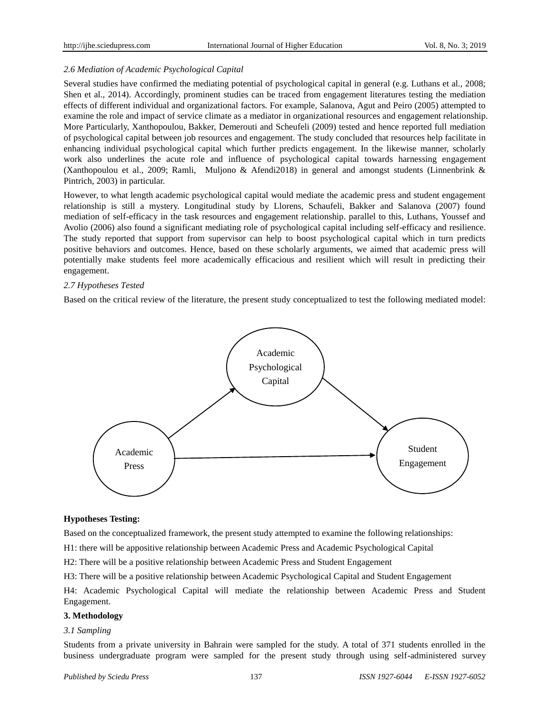# *2.6 Mediation of Academic Psychological Capital*

Several studies have confirmed the mediating potential of psychological capital in general (e.g. Luthans et al., 2008; Shen et al., 2014). Accordingly, prominent studies can be traced from engagement literatures testing the mediation effects of different individual and organizational factors. For example, Salanova, Agut and Peiro (2005) attempted to examine the role and impact of service climate as a mediator in organizational resources and engagement relationship. More Particularly, Xanthopoulou, Bakker, Demerouti and Scheufeli (2009) tested and hence reported full mediation of psychological capital between job resources and engagement. The study concluded that resources help facilitate in enhancing individual psychological capital which further predicts engagement. In the likewise manner, scholarly work also underlines the acute role and influence of psychological capital towards harnessing engagement (Xanthopoulou et al., 2009; Ramli, Muljono & Afendi2018) in general and amongst students (Linnenbrink & Pintrich, 2003) in particular.

However, to what length academic psychological capital would mediate the academic press and student engagement relationship is still a mystery. Longitudinal study by Llorens, Schaufeli, Bakker and Salanova (2007) found mediation of self-efficacy in the task resources and engagement relationship. parallel to this, Luthans, Youssef and Avolio (2006) also found a significant mediating role of psychological capital including self-efficacy and resilience. The study reported that support from supervisor can help to boost psychological capital which in turn predicts positive behaviors and outcomes. Hence, based on these scholarly arguments, we aimed that academic press will potentially make students feel more academically efficacious and resilient which will result in predicting their engagement.

# *2.7 Hypotheses Tested*

Based on the critical review of the literature, the present study conceptualized to test the following mediated model:



#### **Hypotheses Testing:**

Based on the conceptualized framework, the present study attempted to examine the following relationships:

H1: there will be appositive relationship between Academic Press and Academic Psychological Capital

H2: There will be a positive relationship between Academic Press and Student Engagement

H3: There will be a positive relationship between Academic Psychological Capital and Student Engagement

H4: Academic Psychological Capital will mediate the relationship between Academic Press and Student Engagement.

# **3. Methodology**

#### *3.1 Sampling*

Students from a private university in Bahrain were sampled for the study. A total of 371 students enrolled in the business undergraduate program were sampled for the present study through using self-administered survey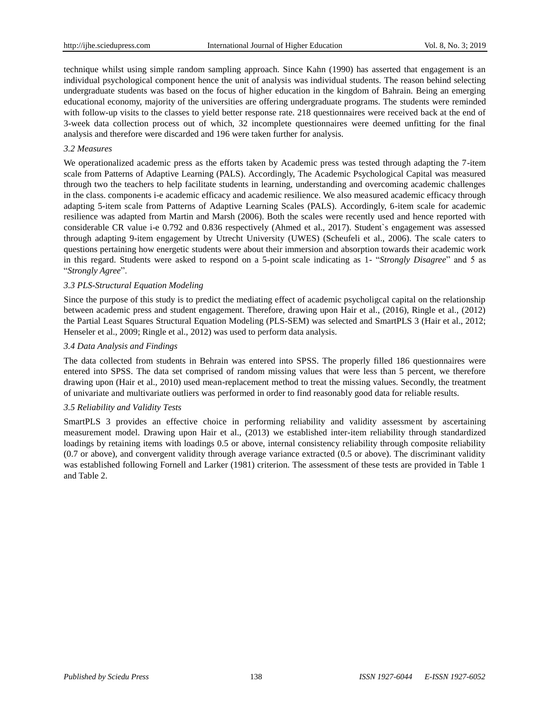technique whilst using simple random sampling approach. Since Kahn (1990) has asserted that engagement is an individual psychological component hence the unit of analysis was individual students. The reason behind selecting undergraduate students was based on the focus of higher education in the kingdom of Bahrain. Being an emerging educational economy, majority of the universities are offering undergraduate programs. The students were reminded with follow-up visits to the classes to yield better response rate. 218 questionnaires were received back at the end of 3-week data collection process out of which, 32 incomplete questionnaires were deemed unfitting for the final analysis and therefore were discarded and 196 were taken further for analysis.

#### *3.2 Measures*

We operationalized academic press as the efforts taken by Academic press was tested through adapting the 7-item scale from Patterns of Adaptive Learning (PALS). Accordingly, The Academic Psychological Capital was measured through two the teachers to help facilitate students in learning, understanding and overcoming academic challenges in the class. components i-e academic efficacy and academic resilience. We also measured academic efficacy through adapting 5-item scale from Patterns of Adaptive Learning Scales (PALS). Accordingly, 6-item scale for academic resilience was adapted from Martin and Marsh (2006). Both the scales were recently used and hence reported with considerable CR value i-e 0.792 and 0.836 respectively (Ahmed et al., 2017). Student`s engagement was assessed through adapting 9-item engagement by Utrecht University (UWES) (Scheufeli et al., 2006). The scale caters to questions pertaining how energetic students were about their immersion and absorption towards their academic work in this regard. Students were asked to respond on a 5-point scale indicating as 1- "*Strongly Disagree*" and 5 as "*Strongly Agree*".

## *3.3 PLS-Structural Equation Modeling*

Since the purpose of this study is to predict the mediating effect of academic psycholigcal capital on the relationship between academic press and student engagement. Therefore, drawing upon Hair et al., (2016), Ringle et al., (2012) the Partial Least Squares Structural Equation Modeling (PLS-SEM) was selected and SmartPLS 3 (Hair et al., 2012; Henseler et al., 2009; Ringle et al., 2012) was used to perform data analysis.

#### *3.4 Data Analysis and Findings*

The data collected from students in Behrain was entered into SPSS. The properly filled 186 questionnaires were entered into SPSS. The data set comprised of random missing values that were less than 5 percent, we therefore drawing upon (Hair et al., 2010) used mean-replacement method to treat the missing values. Secondly, the treatment of univariate and multivariate outliers was performed in order to find reasonably good data for reliable results.

# *3.5 Reliability and Validity Tests*

SmartPLS 3 provides an effective choice in performing reliability and validity assessment by ascertaining measurement model. Drawing upon Hair et al., (2013) we established inter-item reliability through standardized loadings by retaining items with loadings 0.5 or above, internal consistency reliability through composite reliability (0.7 or above), and convergent validity through average variance extracted (0.5 or above). The discriminant validity was established following Fornell and Larker (1981) criterion. The assessment of these tests are provided in Table 1 and Table 2.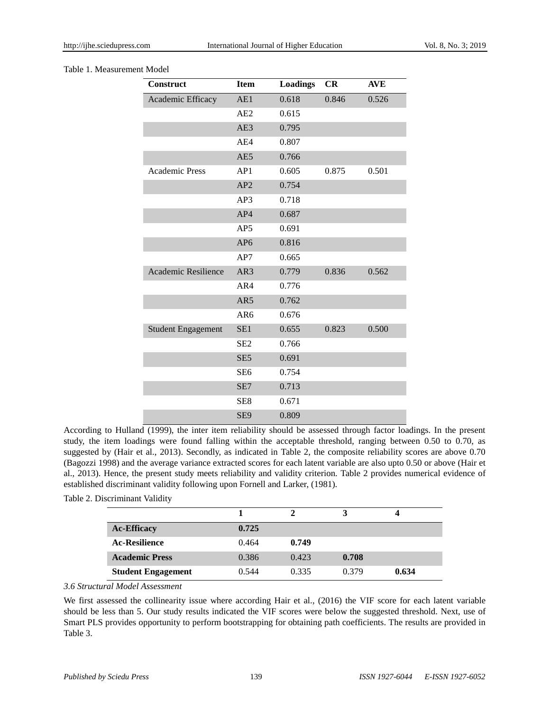#### Table 1. Measurement Model

| <b>Construct</b>           | <b>Item</b>     | <b>Loadings</b> | CR    | <b>AVE</b> |
|----------------------------|-----------------|-----------------|-------|------------|
| Academic Efficacy          | AE1             | 0.618           | 0.846 | 0.526      |
|                            | AE2             | 0.615           |       |            |
|                            | AE3             | 0.795           |       |            |
|                            | AE4             | 0.807           |       |            |
|                            | AE5             | 0.766           |       |            |
| <b>Academic Press</b>      | AP1             | 0.605           | 0.875 | 0.501      |
|                            | AP2             | 0.754           |       |            |
|                            | AP3             | 0.718           |       |            |
|                            | AP4             | 0.687           |       |            |
|                            | AP <sub>5</sub> | 0.691           |       |            |
|                            | AP <sub>6</sub> | 0.816           |       |            |
|                            | AP7             | 0.665           |       |            |
| <b>Academic Resilience</b> | AR3             | 0.779           | 0.836 | 0.562      |
|                            | AR4             | 0.776           |       |            |
|                            | AR5             | 0.762           |       |            |
|                            | AR6             | 0.676           |       |            |
| <b>Student Engagement</b>  | SE <sub>1</sub> | 0.655           | 0.823 | 0.500      |
|                            | SE <sub>2</sub> | 0.766           |       |            |
|                            | SE <sub>5</sub> | 0.691           |       |            |
|                            | SE <sub>6</sub> | 0.754           |       |            |
|                            | SE7             | 0.713           |       |            |
|                            | SE8             | 0.671           |       |            |
|                            | SE <sub>9</sub> | 0.809           |       |            |

According to Hulland (1999), the inter item reliability should be assessed through factor loadings. In the present study, the item loadings were found falling within the acceptable threshold, ranging between 0.50 to 0.70, as suggested by (Hair et al., 2013). Secondly, as indicated in Table 2, the composite reliability scores are above 0.70 (Bagozzi 1998) and the average variance extracted scores for each latent variable are also upto 0.50 or above (Hair et al., 2013). Hence, the present study meets reliability and validity criterion. Table 2 provides numerical evidence of established discriminant validity following upon Fornell and Larker, (1981).

## Table 2. Discriminant Validity

| <b>Ac-Efficacy</b>        | 0.725 |       |       |       |
|---------------------------|-------|-------|-------|-------|
| <b>Ac-Resilience</b>      | 0.464 | 0.749 |       |       |
| <b>Academic Press</b>     | 0.386 | 0.423 | 0.708 |       |
| <b>Student Engagement</b> | 0.544 | 0.335 | 0.379 | 0.634 |

# *3.6 Structural Model Assessment*

We first assessed the collinearity issue where according Hair et al., (2016) the VIF score for each latent variable should be less than 5. Our study results indicated the VIF scores were below the suggested threshold. Next, use of Smart PLS provides opportunity to perform bootstrapping for obtaining path coefficients. The results are provided in Table 3.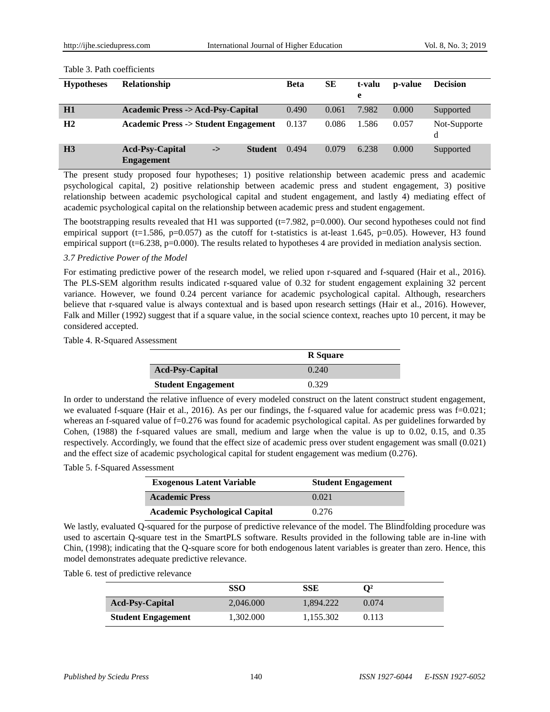#### Table 3. Path coefficients

| <b>Hypotheses</b> | <b>Relationship</b>                            |                      | <b>Beta</b> | SЕ    | t-valu<br>e | <b>p</b> -value | <b>Decision</b>   |
|-------------------|------------------------------------------------|----------------------|-------------|-------|-------------|-----------------|-------------------|
| <b>H1</b>         | <b>Academic Press -&gt; Acd-Psy-Capital</b>    |                      | 0.490       | 0.061 | 7.982       | 0.000           | Supported         |
| H <sub>2</sub>    | <b>Academic Press -&gt; Student Engagement</b> |                      | 0.137       | 0.086 | 1.586       | 0.057           | Not-Supporte<br>d |
| H <sub>3</sub>    | <b>Acd-Psy-Capital</b><br><b>Engagement</b>    | <b>Student</b><br>-> | 0.494       | 0.079 | 6.238       | 0.000           | Supported         |

The present study proposed four hypotheses; 1) positive relationship between academic press and academic psychological capital, 2) positive relationship between academic press and student engagement, 3) positive relationship between academic psychological capital and student engagement, and lastly 4) mediating effect of academic psychological capital on the relationship between academic press and student engagement.

The bootstrapping results revealed that H1 was supported ( $t=7.982$ ,  $p=0.000$ ). Our second hypotheses could not find empirical support (t=1.586, p=0.057) as the cutoff for t-statistics is at-least 1.645, p=0.05). However, H3 found empirical support (t=6.238, p=0.000). The results related to hypotheses 4 are provided in mediation analysis section.

## *3.7 Predictive Power of the Model*

For estimating predictive power of the research model, we relied upon r-squared and f-squared (Hair et al., 2016). The PLS-SEM algorithm results indicated r-squared value of 0.32 for student engagement explaining 32 percent variance. However, we found 0.24 percent variance for academic psychological capital. Although, researchers believe that r-squared value is always contextual and is based upon research settings (Hair et al., 2016). However, Falk and Miller (1992) suggest that if a square value, in the social science context, reaches upto 10 percent, it may be considered accepted.

Table 4. R-Squared Assessment

|                           | <b>R</b> Square |
|---------------------------|-----------------|
| <b>Acd-Psy-Capital</b>    | 0.240           |
| <b>Student Engagement</b> | 0.329           |

In order to understand the relative influence of every modeled construct on the latent construct student engagement, we evaluated f-square (Hair et al., 2016). As per our findings, the f-squared value for academic press was f=0.021; whereas an f-squared value of f=0.276 was found for academic psychological capital. As per guidelines forwarded by Cohen, (1988) the f-squared values are small, medium and large when the value is up to 0.02, 0.15, and 0.35 respectively. Accordingly, we found that the effect size of academic press over student engagement was small (0.021) and the effect size of academic psychological capital for student engagement was medium (0.276).

#### Table 5. f-Squared Assessment

| <b>Exogenous Latent Variable</b>      | <b>Student Engagement</b> |
|---------------------------------------|---------------------------|
| <b>Academic Press</b>                 | 0.021                     |
| <b>Academic Psychological Capital</b> | 0.276                     |

We lastly, evaluated Q-squared for the purpose of predictive relevance of the model. The Blindfolding procedure was used to ascertain Q-square test in the SmartPLS software. Results provided in the following table are in-line with Chin, (1998); indicating that the Q-square score for both endogenous latent variables is greater than zero. Hence, this model demonstrates adequate predictive relevance.

|  | Table 6. test of predictive relevance |  |
|--|---------------------------------------|--|
|--|---------------------------------------|--|

|                           | SSO       | SSE       | ∩2    |
|---------------------------|-----------|-----------|-------|
| <b>Acd-Psy-Capital</b>    | 2.046.000 | 1.894.222 | 0.074 |
| <b>Student Engagement</b> | 1,302.000 | 1.155.302 | 0.113 |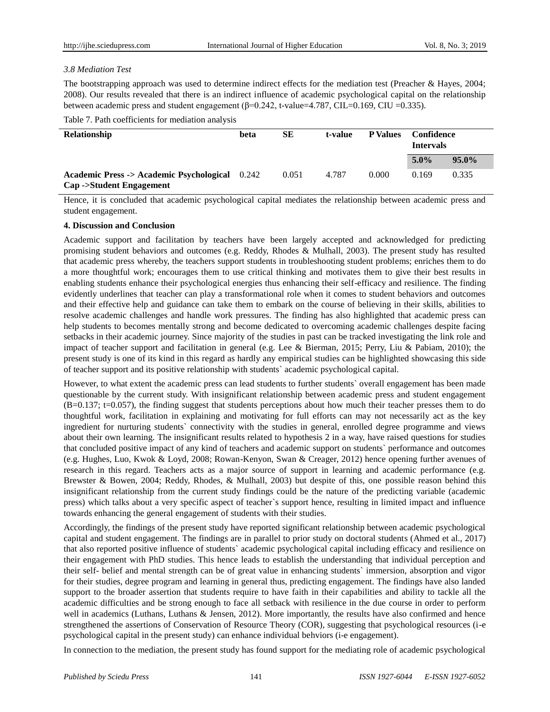## *3.8 Mediation Test*

The bootstrapping approach was used to determine indirect effects for the mediation test (Preacher & Hayes, 2004; 2008). Our results revealed that there is an indirect influence of academic psychological capital on the relationship between academic press and student engagement  $(\beta=0.242, t-value=4.787, CIL=0.169, CIU=0.335)$ .

Table 7. Path coefficients for mediation analysis

| <b>Relationship</b>                                                                            | beta | SЕ    | t-value | <b>P</b> Values | Confidence<br><b>Intervals</b> |          |
|------------------------------------------------------------------------------------------------|------|-------|---------|-----------------|--------------------------------|----------|
|                                                                                                |      |       |         |                 | $5.0\%$                        | $95.0\%$ |
| <b>Academic Press -&gt; Academic Psychological</b> 0.242<br><b>Cap -&gt;Student Engagement</b> |      | 0.051 | 4.787   | 0.000           | 0.169                          | 0.335    |

Hence, it is concluded that academic psychological capital mediates the relationship between academic press and student engagement.

#### **4. Discussion and Conclusion**

Academic support and facilitation by teachers have been largely accepted and acknowledged for predicting promising student behaviors and outcomes (e.g. Reddy, Rhodes & Mulhall, 2003). The present study has resulted that academic press whereby, the teachers support students in troubleshooting student problems; enriches them to do a more thoughtful work; encourages them to use critical thinking and motivates them to give their best results in enabling students enhance their psychological energies thus enhancing their self-efficacy and resilience. The finding evidently underlines that teacher can play a transformational role when it comes to student behaviors and outcomes and their effective help and guidance can take them to embark on the course of believing in their skills, abilities to resolve academic challenges and handle work pressures. The finding has also highlighted that academic press can help students to becomes mentally strong and become dedicated to overcoming academic challenges despite facing setbacks in their academic journey. Since majority of the studies in past can be tracked investigating the link role and impact of teacher support and facilitation in general (e.g. Lee & Bierman, 2015; Perry, Liu & Pabiam, 2010); the present study is one of its kind in this regard as hardly any empirical studies can be highlighted showcasing this side of teacher support and its positive relationship with students` academic psychological capital.

However, to what extent the academic press can lead students to further students` overall engagement has been made questionable by the current study. With insignificant relationship between academic press and student engagement  $(B=0.137; t=0.057)$ , the finding suggest that students perceptions about how much their teacher presses them to do thoughtful work, facilitation in explaining and motivating for full efforts can may not necessarily act as the key ingredient for nurturing students` connectivity with the studies in general, enrolled degree programme and views about their own learning. The insignificant results related to hypothesis 2 in a way, have raised questions for studies that concluded positive impact of any kind of teachers and academic support on students` performance and outcomes (e.g. Hughes, Luo, Kwok & Loyd, 2008; Rowan-Kenyon, Swan & Creager, 2012) hence opening further avenues of research in this regard. Teachers acts as a major source of support in learning and academic performance (e.g. Brewster & Bowen, 2004; Reddy, Rhodes, & Mulhall, 2003) but despite of this, one possible reason behind this insignificant relationship from the current study findings could be the nature of the predicting variable (academic press) which talks about a very specific aspect of teacher`s support hence, resulting in limited impact and influence towards enhancing the general engagement of students with their studies.

Accordingly, the findings of the present study have reported significant relationship between academic psychological capital and student engagement. The findings are in parallel to prior study on doctoral students (Ahmed et al., 2017) that also reported positive influence of students` academic psychological capital including efficacy and resilience on their engagement with PhD studies. This hence leads to establish the understanding that individual perception and their self- belief and mental strength can be of great value in enhancing students` immersion, absorption and vigor for their studies, degree program and learning in general thus, predicting engagement. The findings have also landed support to the broader assertion that students require to have faith in their capabilities and ability to tackle all the academic difficulties and be strong enough to face all setback with resilience in the due course in order to perform well in academics (Luthans, Luthans & Jensen, 2012). More importantly, the results have also confirmed and hence strengthened the assertions of Conservation of Resource Theory (COR), suggesting that psychological resources (i-e psychological capital in the present study) can enhance individual behviors (i-e engagement).

In connection to the mediation, the present study has found support for the mediating role of academic psychological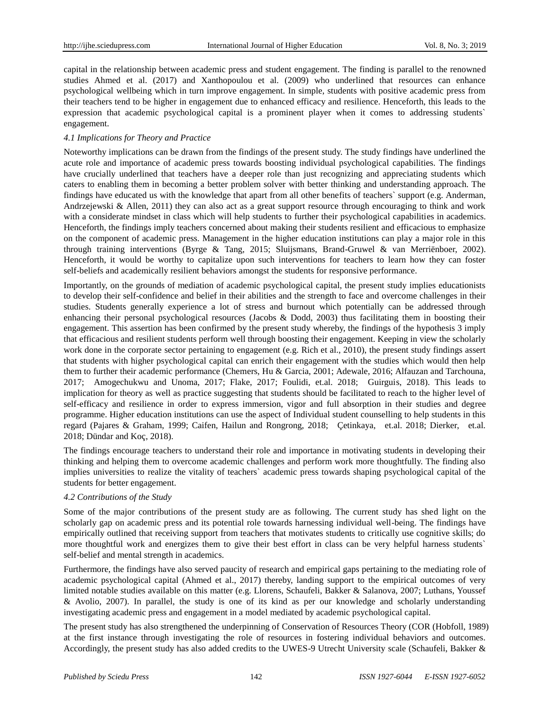capital in the relationship between academic press and student engagement. The finding is parallel to the renowned studies Ahmed et al. (2017) and Xanthopoulou et al. (2009) who underlined that resources can enhance psychological wellbeing which in turn improve engagement. In simple, students with positive academic press from their teachers tend to be higher in engagement due to enhanced efficacy and resilience. Henceforth, this leads to the expression that academic psychological capital is a prominent player when it comes to addressing students` engagement.

# *4.1 Implications for Theory and Practice*

Noteworthy implications can be drawn from the findings of the present study. The study findings have underlined the acute role and importance of academic press towards boosting individual psychological capabilities. The findings have crucially underlined that teachers have a deeper role than just recognizing and appreciating students which caters to enabling them in becoming a better problem solver with better thinking and understanding approach. The findings have educated us with the knowledge that apart from all other benefits of teachers` support (e.g. Anderman, Andrzejewski & Allen, 2011) they can also act as a great support resource through encouraging to think and work with a considerate mindset in class which will help students to further their psychological capabilities in academics. Henceforth, the findings imply teachers concerned about making their students resilient and efficacious to emphasize on the component of academic press. Management in the higher education institutions can play a major role in this through training interventions (Byrge & Tang, 2015; Sluijsmans, Brand-Gruwel & van Merriënboer, 2002). Henceforth, it would be worthy to capitalize upon such interventions for teachers to learn how they can foster self-beliefs and academically resilient behaviors amongst the students for responsive performance.

Importantly, on the grounds of mediation of academic psychological capital, the present study implies educationists to develop their self-confidence and belief in their abilities and the strength to face and overcome challenges in their studies. Students generally experience a lot of stress and burnout which potentially can be addressed through enhancing their personal psychological resources (Jacobs & Dodd, 2003) thus facilitating them in boosting their engagement. This assertion has been confirmed by the present study whereby, the findings of the hypothesis 3 imply that efficacious and resilient students perform well through boosting their engagement. Keeping in view the scholarly work done in the corporate sector pertaining to engagement (e.g. Rich et al., 2010), the present study findings assert that students with higher psychological capital can enrich their engagement with the studies which would then help them to further their academic performance (Chemers, Hu & Garcia, 2001; Adewale, 2016; Alfauzan and Tarchouna, 2017; Amogechukwu and Unoma, 2017; Flake, 2017; Foulidi, et.al. 2018; Guirguis, 2018). This leads to implication for theory as well as practice suggesting that students should be facilitated to reach to the higher level of self-efficacy and resilience in order to express immersion, vigor and full absorption in their studies and degree programme. Higher education institutions can use the aspect of Individual student counselling to help students in this regard (Pajares & Graham, 1999; Caifen, Hailun and Rongrong, 2018; Çetinkaya, et.al. 2018; Dierker, et.al. 2018; Dündar and Koç, 2018).

The findings encourage teachers to understand their role and importance in motivating students in developing their thinking and helping them to overcome academic challenges and perform work more thoughtfully. The finding also implies universities to realize the vitality of teachers` academic press towards shaping psychological capital of the students for better engagement.

# *4.2 Contributions of the Study*

Some of the major contributions of the present study are as following. The current study has shed light on the scholarly gap on academic press and its potential role towards harnessing individual well-being. The findings have empirically outlined that receiving support from teachers that motivates students to critically use cognitive skills; do more thoughtful work and energizes them to give their best effort in class can be very helpful harness students` self-belief and mental strength in academics.

Furthermore, the findings have also served paucity of research and empirical gaps pertaining to the mediating role of academic psychological capital (Ahmed et al., 2017) thereby, landing support to the empirical outcomes of very limited notable studies available on this matter (e.g. Llorens, Schaufeli, Bakker & Salanova, 2007; Luthans, Youssef & Avolio, 2007). In parallel, the study is one of its kind as per our knowledge and scholarly understanding investigating academic press and engagement in a model mediated by academic psychological capital.

The present study has also strengthened the underpinning of Conservation of Resources Theory (COR (Hobfoll, 1989) at the first instance through investigating the role of resources in fostering individual behaviors and outcomes. Accordingly, the present study has also added credits to the UWES-9 Utrecht University scale (Schaufeli, Bakker &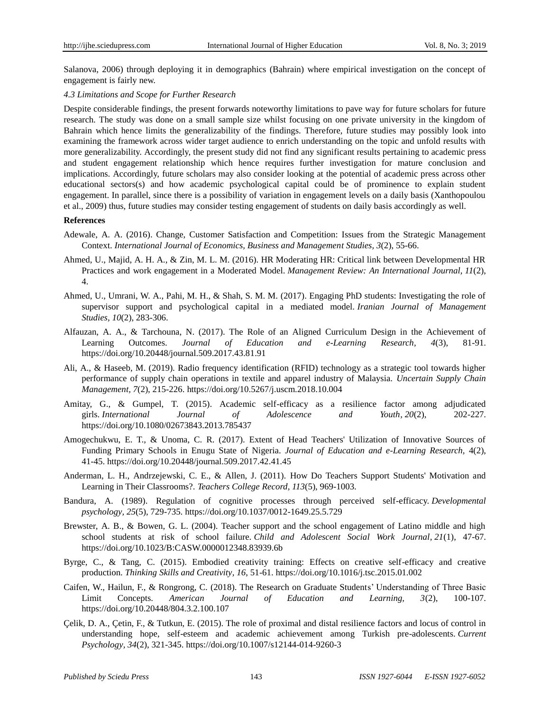Salanova, 2006) through deploying it in demographics (Bahrain) where empirical investigation on the concept of engagement is fairly new.

#### *4.3 Limitations and Scope for Further Research*

Despite considerable findings, the present forwards noteworthy limitations to pave way for future scholars for future research. The study was done on a small sample size whilst focusing on one private university in the kingdom of Bahrain which hence limits the generalizability of the findings. Therefore, future studies may possibly look into examining the framework across wider target audience to enrich understanding on the topic and unfold results with more generalizability. Accordingly, the present study did not find any significant results pertaining to academic press and student engagement relationship which hence requires further investigation for mature conclusion and implications. Accordingly, future scholars may also consider looking at the potential of academic press across other educational sectors(s) and how academic psychological capital could be of prominence to explain student engagement. In parallel, since there is a possibility of variation in engagement levels on a daily basis (Xanthopoulou et al., 2009) thus, future studies may consider testing engagement of students on daily basis accordingly as well.

#### **References**

- Adewale, A. A. (2016). Change, Customer Satisfaction and Competition: Issues from the Strategic Management Context. *International Journal of Economics, Business and Management Studies, 3*(2), 55-66.
- Ahmed, U., Majid, A. H. A., & Zin, M. L. M. (2016). HR Moderating HR: Critical link between Developmental HR Practices and work engagement in a Moderated Model. *Management Review: An International Journal, 11*(2), 4.
- Ahmed, U., Umrani, W. A., Pahi, M. H., & Shah, S. M. M. (2017). Engaging PhD students: Investigating the role of supervisor support and psychological capital in a mediated model. *Iranian Journal of Management Studies, 10*(2), 283-306.
- Alfauzan, A. A., & Tarchouna, N. (2017). The Role of an Aligned Curriculum Design in the Achievement of Learning Outcomes. *Journal of Education and e-Learning Research, 4*(3), 81-91. <https://doi.org/10.20448/journal.509.2017.43.81.91>
- Ali, A., & Haseeb, M. (2019). Radio frequency identification (RFID) technology as a strategic tool towards higher performance of supply chain operations in textile and apparel industry of Malaysia. *Uncertain Supply Chain Management, 7*(2), 215-226.<https://doi.org/10.5267/j.uscm.2018.10.004>
- Amitay, G., & Gumpel, T. (2015). Academic self-efficacy as a resilience factor among adjudicated girls. *International Journal of Adolescence and Youth, 20*(2), 202-227. <https://doi.org/10.1080/02673843.2013.785437>
- Amogechukwu, E. T., & Unoma, C. R. (2017). Extent of Head Teachers' Utilization of Innovative Sources of Funding Primary Schools in Enugu State of Nigeria. *Journal of Education and e-Learning Research,* 4(2), 41-45.<https://doi.org/10.20448/journal.509.2017.42.41.45>
- Anderman, L. H., Andrzejewski, C. E., & Allen, J. (2011). How Do Teachers Support Students' Motivation and Learning in Their Classrooms?. *Teachers College Record, 113*(5), 969-1003.
- Bandura, A. (1989). Regulation of cognitive processes through perceived self-efficacy. *Developmental psychology, 25*(5), 729-735.<https://doi.org/10.1037/0012-1649.25.5.729>
- Brewster, A. B., & Bowen, G. L. (2004). Teacher support and the school engagement of Latino middle and high school students at risk of school failure. *Child and Adolescent Social Work Journal, 21*(1), 47-67. <https://doi.org/10.1023/B:CASW.0000012348.83939.6b>
- Byrge, C., & Tang, C. (2015). Embodied creativity training: Effects on creative self-efficacy and creative production. *Thinking Skills and Creativity, 16*, 51-61.<https://doi.org/10.1016/j.tsc.2015.01.002>
- Caifen, W., Hailun, F., & Rongrong, C. (2018). The Research on Graduate Students' Understanding of Three Basic Limit Concepts. *American Journal of Education and Learning, 3*(2), 100-107. <https://doi.org/10.20448/804.3.2.100.107>
- Çelik, D. A., Çetin, F., & Tutkun, E. (2015). The role of proximal and distal resilience factors and locus of control in understanding hope, self-esteem and academic achievement among Turkish pre-adolescents. *Current Psychology, 34*(2), 321-345.<https://doi.org/10.1007/s12144-014-9260-3>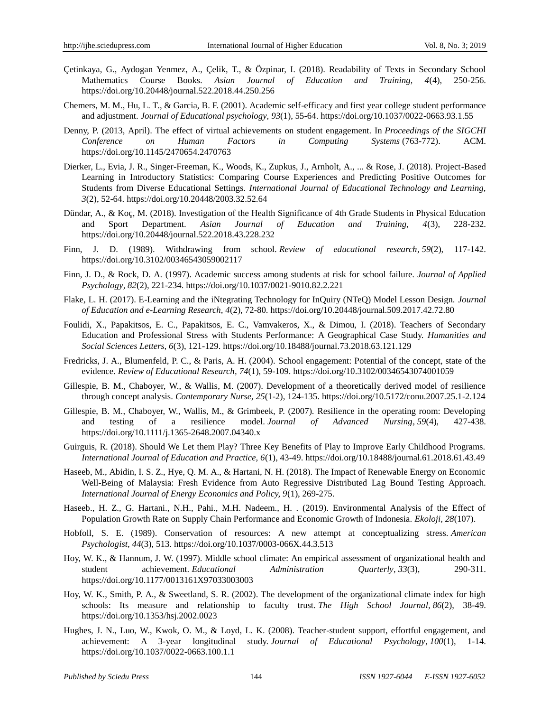- Çetinkaya, G., Aydogan Yenmez, A., Çelik, T., & Özpinar, I. (2018). Readability of Texts in Secondary School Mathematics Course Books. *Asian Journal of Education and Training, 4*(4), 250-256. <https://doi.org/10.20448/journal.522.2018.44.250.256>
- Chemers, M. M., Hu, L. T., & Garcia, B. F. (2001). Academic self-efficacy and first year college student performance and adjustment. *Journal of Educational psychology, 93*(1), 55-64.<https://doi.org/10.1037/0022-0663.93.1.55>
- Denny, P. (2013, April). The effect of virtual achievements on student engagement. In *Proceedings of the SIGCHI Conference on Human Factors in Computing Systems* (763-772). ACM. <https://doi.org/10.1145/2470654.2470763>
- Dierker, L., Evia, J. R., Singer-Freeman, K., Woods, K., Zupkus, J., Arnholt, A., ... & Rose, J. (2018). Project-Based Learning in Introductory Statistics: Comparing Course Experiences and Predicting Positive Outcomes for Students from Diverse Educational Settings. *International Journal of Educational Technology and Learning, 3*(2), 52-64.<https://doi.org/10.20448/2003.32.52.64>
- Dündar, A., & Koç, M. (2018). Investigation of the Health Significance of 4th Grade Students in Physical Education and Sport Department. *Asian Journal of Education and Training, 4*(3), 228-232. <https://doi.org/10.20448/journal.522.2018.43.228.232>
- Finn, J. D. (1989). Withdrawing from school. *Review of educational research, 59*(2), 117-142. <https://doi.org/10.3102/00346543059002117>
- Finn, J. D., & Rock, D. A. (1997). Academic success among students at risk for school failure. *Journal of Applied Psychology, 82*(2), 221-234.<https://doi.org/10.1037/0021-9010.82.2.221>
- Flake, L. H. (2017). E-Learning and the iNtegrating Technology for InQuiry (NTeQ) Model Lesson Design. *Journal of Education and e-Learning Research, 4*(2), 72-80.<https://doi.org/10.20448/journal.509.2017.42.72.80>
- Foulidi, X., Papakitsos, E. C., Papakitsos, E. C., Vamvakeros, X., & Dimou, I. (2018). Teachers of Secondary Education and Professional Stress with Students Performance: A Geographical Case Study. *Humanities and Social Sciences Letters, 6*(3), 121-129.<https://doi.org/10.18488/journal.73.2018.63.121.129>
- Fredricks, J. A., Blumenfeld, P. C., & Paris, A. H. (2004). School engagement: Potential of the concept, state of the evidence. *Review of Educational Research, 74*(1), 59-109.<https://doi.org/10.3102/00346543074001059>
- Gillespie, B. M., Chaboyer, W., & Wallis, M. (2007). Development of a theoretically derived model of resilience through concept analysis. *Contemporary Nurse, 25*(1-2), 124-135[. https://doi.org/10.5172/conu.2007.25.1-2.124](https://doi.org/10.5172/conu.2007.25.1-2.124)
- Gillespie, B. M., Chaboyer, W., Wallis, M., & Grimbeek, P. (2007). Resilience in the operating room: Developing and testing of a resilience model. *Journal of Advanced Nursing, 59*(4), 427-438. <https://doi.org/10.1111/j.1365-2648.2007.04340.x>
- Guirguis, R. (2018). Should We Let them Play? Three Key Benefits of Play to Improve Early Childhood Programs. *International Journal of Education and Practice, 6*(1), 43-49.<https://doi.org/10.18488/journal.61.2018.61.43.49>
- Haseeb, M., Abidin, I. S. Z., Hye, Q. M. A., & Hartani, N. H. (2018). The Impact of Renewable Energy on Economic Well-Being of Malaysia: Fresh Evidence from Auto Regressive Distributed Lag Bound Testing Approach. *International Journal of Energy Economics and Policy, 9*(1), 269-275.
- Haseeb., H. Z., G. Hartani., N.H., Pahi., M.H. Nadeem., H. . (2019). Environmental Analysis of the Effect of Population Growth Rate on Supply Chain Performance and Economic Growth of Indonesia. *Ekoloji, 28*(107).
- Hobfoll, S. E. (1989). Conservation of resources: A new attempt at conceptualizing stress. *American Psychologist, 44*(3), 513[. https://doi.org/10.1037/0003-066X.44.3.513](https://doi.org/10.1037/0003-066X.44.3.513)
- Hoy, W. K., & Hannum, J. W. (1997). Middle school climate: An empirical assessment of organizational health and student achievement. *Educational Administration Quarterly, 33*(3), 290-311. <https://doi.org/10.1177/0013161X97033003003>
- Hoy, W. K., Smith, P. A., & Sweetland, S. R. (2002). The development of the organizational climate index for high schools: Its measure and relationship to faculty trust. *The High School Journal, 86*(2), 38-49. <https://doi.org/10.1353/hsj.2002.0023>
- Hughes, J. N., Luo, W., Kwok, O. M., & Loyd, L. K. (2008). Teacher-student support, effortful engagement, and achievement: A 3-year longitudinal study. *Journal of Educational Psychology, 100*(1), 1-14. <https://doi.org/10.1037/0022-0663.100.1.1>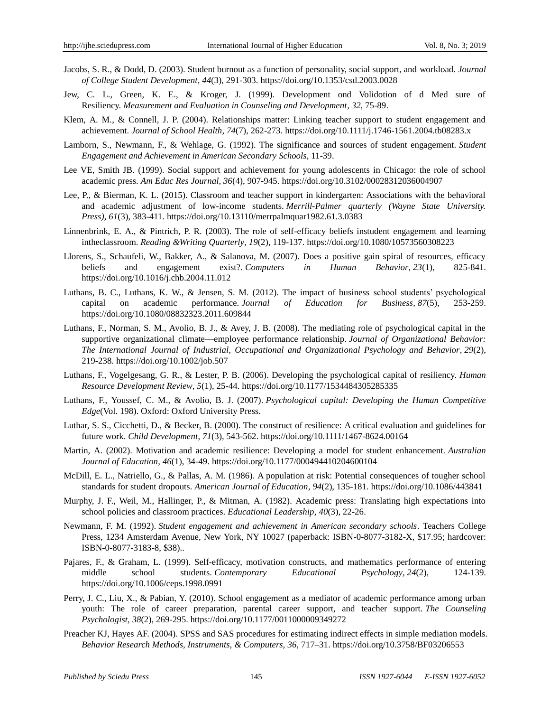- Jacobs, S. R., & Dodd, D. (2003). Student burnout as a function of personality, social support, and workload. *Journal of College Student Development, 44*(3), 291-303.<https://doi.org/10.1353/csd.2003.0028>
- Jew, C. L., Green, K. E., & Kroger, J. (1999). Development ond Volidotion of d Med sure of Resiliency. *Measurement and Evaluation in Counseling and Development, 32*, 75-89.
- Klem, A. M., & Connell, J. P. (2004). Relationships matter: Linking teacher support to student engagement and achievement. *Journal of School Health, 74*(7), 262-273.<https://doi.org/10.1111/j.1746-1561.2004.tb08283.x>
- Lamborn, S., Newmann, F., & Wehlage, G. (1992). The significance and sources of student engagement. *Student Engagement and Achievement in American Secondary Schools*, 11-39.
- Lee VE, Smith JB. (1999). Social support and achievement for young adolescents in Chicago: the role of school academic press. *Am Educ Res Journal, 36*(4), 907-945[. https://doi.org/10.3102/00028312036004907](https://doi.org/10.3102/00028312036004907)
- Lee, P., & Bierman, K. L. (2015). Classroom and teacher support in kindergarten: Associations with the behavioral and academic adjustment of low-income students. *Merrill-Palmer quarterly (Wayne State University. Press), 61*(3), 383-411[. https://doi.org/10.13110/merrpalmquar1982.61.3.0383](https://doi.org/10.13110/merrpalmquar1982.61.3.0383)
- Linnenbrink, E. A., & Pintrich, P. R. (2003). The role of self-efficacy beliefs instudent engagement and learning intheclassroom. *Reading &Writing Quarterly, 19*(2), 119-137[. https://doi.org/10.1080/10573560308223](https://doi.org/10.1080/10573560308223)
- Llorens, S., Schaufeli, W., Bakker, A., & Salanova, M. (2007). Does a positive gain spiral of resources, efficacy beliefs and engagement exist?. *Computers in Human Behavior, 23*(1), 825-841. <https://doi.org/10.1016/j.chb.2004.11.012>
- Luthans, B. C., Luthans, K. W., & Jensen, S. M. (2012). The impact of business school students' psychological capital on academic performance. *Journal of Education for Business, 87*(5), 253-259. <https://doi.org/10.1080/08832323.2011.609844>
- Luthans, F., Norman, S. M., Avolio, B. J., & Avey, J. B. (2008). The mediating role of psychological capital in the supportive organizational climate—employee performance relationship. *Journal of Organizational Behavior: The International Journal of Industrial, Occupational and Organizational Psychology and Behavior, 29*(2), 219-238.<https://doi.org/10.1002/job.507>
- Luthans, F., Vogelgesang, G. R., & Lester, P. B. (2006). Developing the psychological capital of resiliency. *Human Resource Development Review, 5*(1), 25-44.<https://doi.org/10.1177/1534484305285335>
- Luthans, F., Youssef, C. M., & Avolio, B. J. (2007). *Psychological capital: Developing the Human Competitive Edge*(Vol. 198). Oxford: Oxford University Press.
- Luthar, S. S., Cicchetti, D., & Becker, B. (2000). The construct of resilience: A critical evaluation and guidelines for future work. *Child Development, 71*(3), 543-562.<https://doi.org/10.1111/1467-8624.00164>
- Martin, A. (2002). Motivation and academic resilience: Developing a model for student enhancement. *Australian Journal of Education, 46*(1), 34-49.<https://doi.org/10.1177/000494410204600104>
- McDill, E. L., Natriello, G., & Pallas, A. M. (1986). A population at risk: Potential consequences of tougher school standards for student dropouts. *American Journal of Education, 94*(2), 135-181.<https://doi.org/10.1086/443841>
- Murphy, J. F., Weil, M., Hallinger, P., & Mitman, A. (1982). Academic press: Translating high expectations into school policies and classroom practices. *Educational Leadership, 40*(3), 22-26.
- Newmann, F. M. (1992). *Student engagement and achievement in American secondary schools*. Teachers College Press, 1234 Amsterdam Avenue, New York, NY 10027 (paperback: ISBN-0-8077-3182-X, \$17.95; hardcover: ISBN-0-8077-3183-8, \$38)..
- Pajares, F., & Graham, L. (1999). Self-efficacy, motivation constructs, and mathematics performance of entering middle school students. *Contemporary Educational Psychology, 24*(2), 124-139. <https://doi.org/10.1006/ceps.1998.0991>
- Perry, J. C., Liu, X., & Pabian, Y. (2010). School engagement as a mediator of academic performance among urban youth: The role of career preparation, parental career support, and teacher support. *The Counseling Psychologist, 38*(2), 269-295.<https://doi.org/10.1177/0011000009349272>
- Preacher KJ, Hayes AF. (2004). SPSS and SAS procedures for estimating indirect effects in simple mediation models. *Behavior Research Methods, Instruments, & Computers, 36*, 717–31[. https://doi.org/10.3758/BF03206553](https://doi.org/10.3758/BF03206553)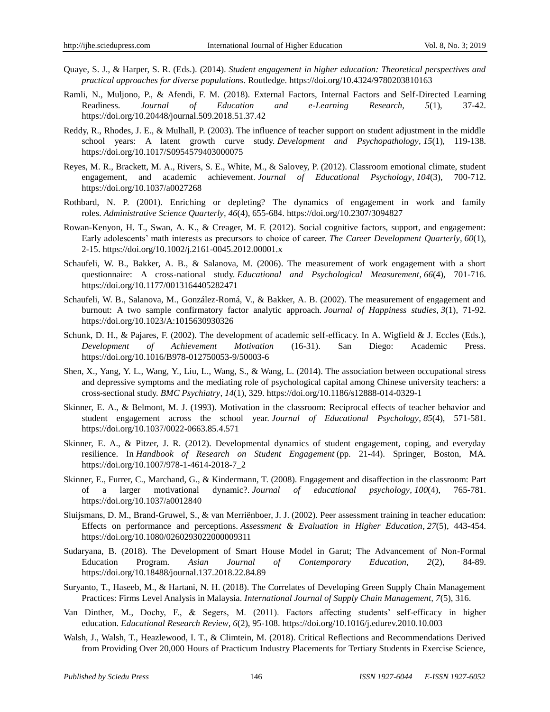- Quaye, S. J., & Harper, S. R. (Eds.). (2014). *Student engagement in higher education: Theoretical perspectives and practical approaches for diverse populations*. Routledge.<https://doi.org/10.4324/9780203810163>
- Ramli, N., Muljono, P., & Afendi, F. M. (2018). External Factors, Internal Factors and Self-Directed Learning Readiness. *Journal of Education and e-Learning Research, 5*(1), 37-42. <https://doi.org/10.20448/journal.509.2018.51.37.42>
- Reddy, R., Rhodes, J. E., & Mulhall, P. (2003). The influence of teacher support on student adjustment in the middle school years: A latent growth curve study. *Development and Psychopathology, 15*(1), 119-138. <https://doi.org/10.1017/S0954579403000075>
- Reyes, M. R., Brackett, M. A., Rivers, S. E., White, M., & Salovey, P. (2012). Classroom emotional climate, student engagement, and academic achievement. *Journal of Educational Psychology, 104*(3), 700-712. <https://doi.org/10.1037/a0027268>
- Rothbard, N. P. (2001). Enriching or depleting? The dynamics of engagement in work and family roles. *Administrative Science Quarterly, 46*(4), 655-684.<https://doi.org/10.2307/3094827>
- Rowan-Kenyon, H. T., Swan, A. K., & Creager, M. F. (2012). Social cognitive factors, support, and engagement: Early adolescents' math interests as precursors to choice of career. *The Career Development Quarterly, 60*(1), 2-15.<https://doi.org/10.1002/j.2161-0045.2012.00001.x>
- Schaufeli, W. B., Bakker, A. B., & Salanova, M. (2006). The measurement of work engagement with a short questionnaire: A cross-national study. *Educational and Psychological Measurement, 66*(4), 701-716. <https://doi.org/10.1177/0013164405282471>
- Schaufeli, W. B., Salanova, M., González-Romá, V., & Bakker, A. B. (2002). The measurement of engagement and burnout: A two sample confirmatory factor analytic approach. *Journal of Happiness studies, 3*(1), 71-92. <https://doi.org/10.1023/A:1015630930326>
- Schunk, D. H., & Pajares, F. (2002). The development of academic self-efficacy. In A. Wigfield & J. Eccles (Eds.), *Development of Achievement Motivation* (16-31). San Diego: Academic Press. <https://doi.org/10.1016/B978-012750053-9/50003-6>
- Shen, X., Yang, Y. L., Wang, Y., Liu, L., Wang, S., & Wang, L. (2014). The association between occupational stress and depressive symptoms and the mediating role of psychological capital among Chinese university teachers: a cross-sectional study. *BMC Psychiatry, 14*(1), 329.<https://doi.org/10.1186/s12888-014-0329-1>
- Skinner, E. A., & Belmont, M. J. (1993). Motivation in the classroom: Reciprocal effects of teacher behavior and student engagement across the school year. *Journal of Educational Psychology, 85*(4), 571-581. <https://doi.org/10.1037/0022-0663.85.4.571>
- Skinner, E. A., & Pitzer, J. R. (2012). Developmental dynamics of student engagement, coping, and everyday resilience. In *Handbook of Research on Student Engagement* (pp. 21-44). Springer, Boston, MA. [https://doi.org/10.1007/978-1-4614-2018-7\\_2](https://doi.org/10.1007/978-1-4614-2018-7_2)
- Skinner, E., Furrer, C., Marchand, G., & Kindermann, T. (2008). Engagement and disaffection in the classroom: Part of a larger motivational dynamic?. *Journal of educational psychology, 100*(4), 765-781. <https://doi.org/10.1037/a0012840>
- Sluijsmans, D. M., Brand-Gruwel, S., & van Merriënboer, J. J. (2002). Peer assessment training in teacher education: Effects on performance and perceptions. *Assessment & Evaluation in Higher Education, 27*(5), 443-454. <https://doi.org/10.1080/0260293022000009311>
- Sudaryana, B. (2018). The Development of Smart House Model in Garut; The Advancement of Non-Formal Education Program. *Asian Journal of Contemporary Education, 2*(2), 84-89. <https://doi.org/10.18488/journal.137.2018.22.84.89>
- Suryanto, T., Haseeb, M., & Hartani, N. H. (2018). The Correlates of Developing Green Supply Chain Management Practices: Firms Level Analysis in Malaysia. *International Journal of Supply Chain Management, 7*(5), 316.
- Van Dinther, M., Dochy, F., & Segers, M. (2011). Factors affecting students' self-efficacy in higher education. *Educational Research Review, 6*(2), 95-108.<https://doi.org/10.1016/j.edurev.2010.10.003>
- Walsh, J., Walsh, T., Heazlewood, I. T., & Climtein, M. (2018). Critical Reflections and Recommendations Derived from Providing Over 20,000 Hours of Practicum Industry Placements for Tertiary Students in Exercise Science,